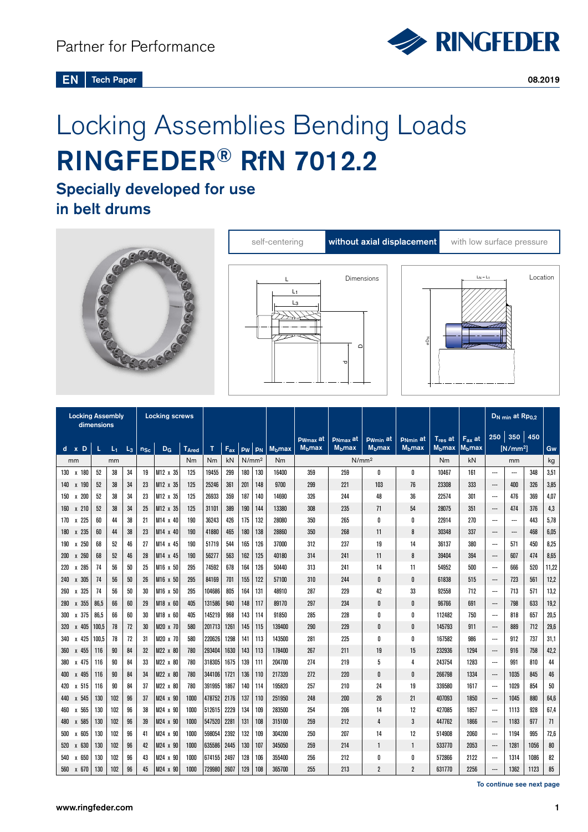

# Locking Assemblies Bending Loads RINGFEDER® RfN 7012.2

## Specially developed for use in belt drums







| <b>Locking Assembly</b><br>dimensions |       |       |       |          | <b>Locking screws</b> |                         |           |                         |     |                  |                         |                   |                         |                         |                         |                         |                    | D <sub>N min</sub> at Rp <sub>0,2</sub> |                |      |       |
|---------------------------------------|-------|-------|-------|----------|-----------------------|-------------------------|-----------|-------------------------|-----|------------------|-------------------------|-------------------|-------------------------|-------------------------|-------------------------|-------------------------|--------------------|-----------------------------------------|----------------|------|-------|
|                                       |       |       |       |          |                       |                         |           |                         |     | <b>P</b> wmax at | <b>PNmax</b> at         | Pwmin at          | P <sub>Nmin</sub> at    | $T_{res}$ at            | $F_{ax}$ at             |                         | $250$ 350 450      |                                         |                |      |       |
| $d \times D$                          | L.    | $L_1$ | $L_3$ | $n_{Sc}$ | D <sub>G</sub>        | <b>T<sub>Ared</sub></b> | T         | $F_{ax}$                | pw  | PN               | <b>M<sub>b</sub>max</b> | $Mb$ max          | <b>M<sub>b</sub>max</b> | <b>M<sub>b</sub>max</b> | <b>M<sub>b</sub>max</b> | <b>M<sub>b</sub>max</b> | M <sub>b</sub> max |                                         | $[N/mm^2]$     |      | Gw    |
| mm                                    | mm    |       |       |          |                       | Nm                      | <b>Nm</b> | N/mm <sup>2</sup><br>kN |     | Nm               |                         | N/mm <sup>2</sup> |                         | Nm                      | kN                      | mm                      |                    |                                         | kg             |      |       |
| 130 x 180                             | 52    | 38    | 34    | 19       | M12 x 35              | 125                     | 19455     | 299                     | 180 | 130              | 16400                   | 359               | 259                     | 0                       | 0                       | 10467                   | 161                | ---                                     | ---            | 348  | 3,51  |
| 140<br>x 190                          | 52    | 38    | 34    | 23       | M12 x 35              | 125                     | 25246     | 361                     | 201 | 148              | 9700                    | 299               | 221                     | 103                     | 76                      | 23308                   | 333                | ---                                     | 400            | 326  | 3,85  |
| x 200<br>150                          | 52    | 38    | 34    | 23       | M12 x 35              | 125                     | 26933     | 359                     | 187 | 140              | 14690                   | 326               | 244                     | 48                      | 36                      | 22574                   | 301                | ---                                     | 476            | 369  | 4,07  |
| 160 x 210                             | 52    | 38    | 34    | 25       | M12 x 35              | 125                     | 31101     | 389                     | 190 | 144              | 13380                   | 308               | 235                     | 71                      | 54                      | 28075                   | 351                | ---                                     | 474            | 376  | 4,3   |
| 225<br>170<br>X                       | 60    | 44    | 38    | 21       | M14 x 40              | 190                     | 36243     | 426                     | 175 | 132              | 28080                   | 350               | 265                     | 0                       | $\mathbf{0}$            | 22914                   | 270                | $\overline{\phantom{a}}$                | $\overline{a}$ | 443  | 5,78  |
| x 235<br>180                          | 60    | 44    | 38    | 23       | $M14 \times 40$       | 190                     | 41880     | 465                     | 180 | 138              | 28860                   | 350               | 268                     | 11                      | 8                       | 30348                   | 337                | ---                                     | ---            | 468  | 6,05  |
| 190<br>250<br>X                       | 68    | 52    | 46    | 27       | M14 x 45              | 190                     | 51719     | 544                     | 165 | 126              | 37000                   | 312               | 237                     | 19                      | 14                      | 36137                   | 380                | ---                                     | 571            | 450  | 8,25  |
| x 260<br>200                          | 68    | 52    | 46    | 28       | M14 x 45              | 190                     | 56277     | 563                     | 162 | 125              | 40180                   | 314               | 241                     | 11                      | 8                       | 39404                   | 394                | ---                                     | 607            | 474  | 8,65  |
| 285<br>220<br>X                       | 74    | 56    | 50    | 25       | M16 x 50              | 295                     | 74592     | 678                     | 164 | 126              | 50440                   | 313               | 241                     | 14                      | 11                      | 54952                   | 500                | ---                                     | 666            | 520  | 11,22 |
| 305<br>240<br>$\mathbf{x}$            | 74    | 56    | 50    | 26       | M16 x 50              | 295                     | 84169     | 701                     | 155 | 122              | 57100                   | 310               | 244                     | 0                       | 0                       | 61838                   | 515                | ---                                     | 723            | 561  | 12,2  |
| 325<br>260<br>$\mathbf{x}$            | 74    | 56    | 50    | 30       | M <sub>16</sub> x 50  | 295                     | 104686    | 805                     | 164 | 131              | 48910                   | 287               | 229                     | 42                      | 33                      | 92558                   | 712                | ---                                     | 713            | 571  | 13,2  |
| 355<br>280<br>X                       | 86,5  | 66    | 60    | 29       | M18 x 60              | 405                     | 131586    | 940                     | 148 | 117              | 89170                   | 297               | 234                     | 0                       | 0                       | 96766                   | 691                | ---                                     | 798            | 633  | 19,2  |
| 375<br>300<br>X                       | 86.5  | 66    | 60    | 30       | $M18 \times 60$       | 405                     | 145219    | 968                     | 143 | 114              | 91850                   | 285               | 228                     | 0                       | 0                       | 112482                  | 750                | ---                                     | 818            | 657  | 20,5  |
| x 405<br>320                          | 100.5 | 78    | 72    | 30       | M20 x 70              | 580                     | 201713    | 1261                    | 145 | 115              | 139400                  | 290               | 229                     | 0                       | 0                       | 145793                  | 911                | $\hspace{0.05cm} \ldots$                | 889            | 712  | 29,6  |
| x 425<br>340                          | 100,5 | 78    | 72    | 31       | M20 x 70              | 580                     | 220626    | 1298                    | 141 | 113              | 143500                  | 281               | 225                     | 0                       | 0                       | 167582                  | 986                | ---                                     | 912            | 737  | 31,1  |
| x 455<br>360                          | 116   | 90    | 84    | 32       | M22 x 80              | 780                     | 293404    | 1630                    | 143 | 113              | 178400                  | 267               | 211                     | 19                      | 15                      | 232936                  | 1294               | ---                                     | 916            | 758  | 42,2  |
| 475<br>380<br>X                       | 116   | 90    | 84    | 33       | M22 x 80              | 780                     | 318305    | 1675                    | 139 | 111              | 204700                  | 274               | 219                     | 5                       | 4                       | 243754                  | 1283               | ---                                     | 991            | 810  | 44    |
| x 495<br>400                          | 116   | 90    | 84    | 34       | M22 x 80              | 780                     | 344106    | 1721                    | 136 | 110              | 217320                  | 272               | 220                     | 0                       | 0                       | 266798                  | 1334               | ---                                     | 1035           | 845  | 46    |
| 420<br>515<br>X                       | 116   | 90    | 84    | 37       | M22 x 80              | 780                     | 391995    | 1867                    | 140 | 114              | 195820                  | 257               | 210                     | 24                      | 19                      | 339580                  | 1617               | ---                                     | 1029           | 854  | 50    |
| x 545<br>440                          | 130   | 102   | 96    | 37       | M24 x 90              | 1000                    | 478752    | 2176                    | 137 | 110              | 251950                  | 248               | 200                     | 26                      | 21                      | 407093                  | 1850               | ---                                     | 1045           | 880  | 64,6  |
| 565<br>460<br>Х                       | 130   | 102   | 96    | 38       | M24 x 90              | 1000                    | 512615    | 2229                    | 134 | 109              | 283500                  | 254               | 206                     | 14                      | 12                      | 427085                  | 1857               | ---                                     | 1113           | 928  | 67,4  |
| 480<br>585<br>X                       | 130   | 102   | 96    | 39       | M24 x 90              | 1000                    | 547520    | 2281                    | 131 | 108              | 315100                  | 259               | 212                     | 4                       | 3                       | 447762                  | 1866               | ---                                     | 1183           | 977  | 71    |
| 605<br>500<br>X                       | 130   | 102   | 96    | 41       | M24 x 90              | 1000                    | 598054    | 2392                    | 132 | 109              | 304200                  | 250               | 207                     | 14                      | 12                      | 514908                  | 2060               | ---                                     | 1194           | 995  | 72,6  |
| 520<br>630<br>$\mathbf{x}$            | 130   | 102   | 96    | 42       | M24 x 90              | 1000                    | 635586    | 2445                    | 130 | 107              | 345050                  | 259               | 214                     | $\mathbf{1}$            | $\mathbf{1}$            | 533770                  | 2053               | ---                                     | 1281           | 1056 | 80    |
| x 650<br>540                          | 130   | 102   | 96    | 43       | M24 x 90              | 1000                    | 674155    | 2497                    | 128 | 106              | 355400                  | 256               | 212                     | 0                       | 0                       | 572866                  | 2122               | ---                                     | 1314           | 1086 | 82    |
| x 670<br>560                          | 130   | 102   | 96    | 45       | M24 x 90              | 1000                    | 729980    | 2607                    | 129 | 108              | 365700                  | 255               | 213                     | $\overline{2}$          | $\overline{2}$          | 631770                  | 2256               | $\overline{\phantom{a}}$                | 1362           | 1123 | 85    |

To continue see next page